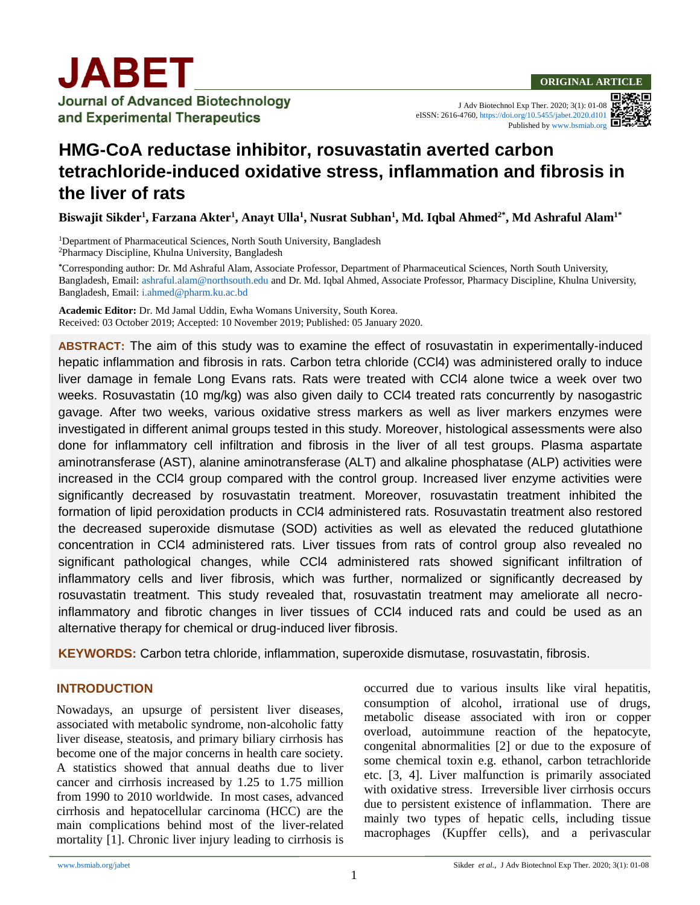J Adv Biotechnol Exp Ther. 2020; 3(1): 01-08 eISSN: 2616-4760,<https://doi.org/10.5455/jabet.2020.d101> Published b[y www.bsmiab.org](http://www.bsmiab.org/)

# **HMG-CoA reductase inhibitor, rosuvastatin averted carbon tetrachloride-induced oxidative stress, inflammation and fibrosis in the liver of rats**

**Biswajit Sikder<sup>1</sup> , Farzana Akter<sup>1</sup> , Anayt Ulla<sup>1</sup> , Nusrat Subhan<sup>1</sup> , Md. Iqbal Ahmed2\* , Md Ashraful Alam1\***

<sup>1</sup>Department of Pharmaceutical Sciences, North South University, Bangladesh <sup>2</sup>Pharmacy Discipline, Khulna University, Bangladesh

**\***Corresponding author: Dr. Md Ashraful Alam, Associate Professor, Department of Pharmaceutical Sciences, North South University, Bangladesh, Email: [ashraful.alam@northsouth.edu](mailto:ashraful.alam@northsouth.edu) and Dr. Md. Iqbal Ahmed, Associate Professor, Pharmacy Discipline, Khulna University, Bangladesh, Email: [i.ahmed@pharm.ku.ac.bd](mailto:i.ahmed@pharm.ku.ac.bd)

**Academic Editor:** Dr. Md Jamal Uddin, Ewha Womans University, South Korea. Received: 03 October 2019; Accepted: 10 November 2019; Published: 05 January 2020.

**ABSTRACT:** The aim of this study was to examine the effect of rosuvastatin in experimentally-induced hepatic inflammation and fibrosis in rats. Carbon tetra chloride (CCl4) was administered orally to induce liver damage in female Long Evans rats. Rats were treated with CCl4 alone twice a week over two weeks. Rosuvastatin (10 mg/kg) was also given daily to CCl4 treated rats concurrently by nasogastric gavage. After two weeks, various oxidative stress markers as well as liver markers enzymes were investigated in different animal groups tested in this study. Moreover, histological assessments were also done for inflammatory cell infiltration and fibrosis in the liver of all test groups. Plasma aspartate aminotransferase (AST), alanine aminotransferase (ALT) and alkaline phosphatase (ALP) activities were increased in the CCl4 group compared with the control group. Increased liver enzyme activities were significantly decreased by rosuvastatin treatment. Moreover, rosuvastatin treatment inhibited the formation of lipid peroxidation products in CCl4 administered rats. Rosuvastatin treatment also restored the decreased superoxide dismutase (SOD) activities as well as elevated the reduced glutathione concentration in CCl4 administered rats. Liver tissues from rats of control group also revealed no significant pathological changes, while CCl4 administered rats showed significant infiltration of inflammatory cells and liver fibrosis, which was further, normalized or significantly decreased by rosuvastatin treatment. This study revealed that, rosuvastatin treatment may ameliorate all necroinflammatory and fibrotic changes in liver tissues of CCl4 induced rats and could be used as an alternative therapy for chemical or drug-induced liver fibrosis.

**KEYWORDS:** Carbon tetra chloride, inflammation, superoxide dismutase, rosuvastatin, fibrosis.

# **INTRODUCTION**

Nowadays, an upsurge of persistent liver diseases, associated with metabolic syndrome, non-alcoholic fatty liver disease, steatosis, and primary biliary cirrhosis has become one of the major concerns in health care society. A statistics showed that annual deaths due to liver cancer and cirrhosis increased by 1.25 to 1.75 million from 1990 to 2010 worldwide. In most cases, advanced cirrhosis and hepatocellular carcinoma (HCC) are the main complications behind most of the liver-related mortality [\[1\]](#page-6-0). Chronic liver injury leading to cirrhosis is occurred due to various insults like viral hepatitis, consumption of alcohol, irrational use of drugs, metabolic disease associated with iron or copper overload, autoimmune reaction of the hepatocyte, congenital abnormalities [\[2\]](#page-6-1) or due to the exposure of some chemical toxin e.g. ethanol, carbon tetrachloride etc. [\[3,](#page-6-2) [4\]](#page-6-3). Liver malfunction is primarily associated with oxidative stress. Irreversible liver cirrhosis occurs due to persistent existence of inflammation. There are mainly two types of hepatic cells, including tissue macrophages (Kupffer cells), and a perivascular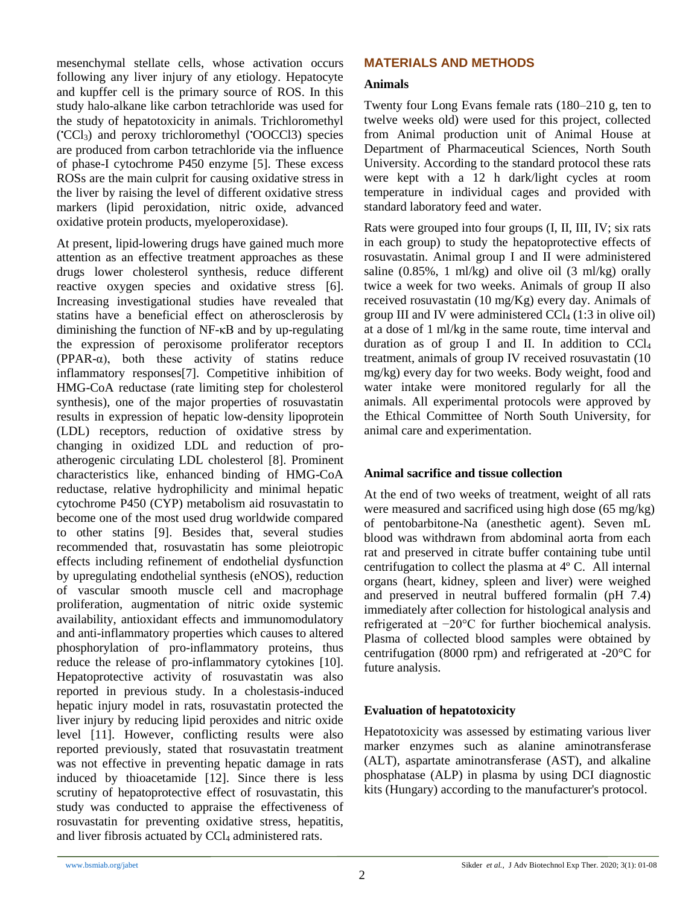mesenchymal stellate cells, whose activation occurs following any liver injury of any etiology. Hepatocyte and kupffer cell is the primary source of ROS. In this study halo-alkane like carbon tetrachloride was used for the study of hepatotoxicity in animals. Trichloromethyl ( •CCl3) and peroxy trichloromethyl (•OOCCl3) species are produced from carbon tetrachloride via the influence of phase-I cytochrome P450 enzyme [\[5\]](#page-6-4). These excess ROSs are the main culprit for causing oxidative stress in the liver by raising the level of different oxidative stress markers (lipid peroxidation, nitric oxide, advanced oxidative protein products, myeloperoxidase).

At present, lipid-lowering drugs have gained much more attention as an effective treatment approaches as these drugs lower cholesterol synthesis, reduce different reactive oxygen species and oxidative stress [\[6\]](#page-6-5). Increasing investigational studies have revealed that statins have a beneficial effect on atherosclerosis by diminishing the function of NF-κB and by up-regulating the expression of peroxisome proliferator receptors (PPAR- $\alpha$ ), both these activity of statins reduce inflammatory responses[\[7\]](#page-6-6). Competitive inhibition of HMG-CoA reductase (rate limiting step for cholesterol synthesis), one of the major properties of rosuvastatin results in expression of hepatic low-density lipoprotein (LDL) receptors, reduction of oxidative stress by changing in oxidized LDL and reduction of proatherogenic circulating LDL cholesterol [\[8\]](#page-6-7). Prominent characteristics like, enhanced binding of HMG-CoA reductase, relative hydrophilicity and minimal hepatic cytochrome P450 (CYP) metabolism aid rosuvastatin to become one of the most used drug worldwide compared to other statins [\[9\]](#page-6-8). Besides that, several studies recommended that, rosuvastatin has some pleiotropic effects including refinement of endothelial dysfunction by upregulating endothelial synthesis (eNOS), reduction of vascular smooth muscle cell and macrophage proliferation, augmentation of nitric oxide systemic availability, antioxidant effects and immunomodulatory and anti-inflammatory properties which causes to altered phosphorylation of pro-inflammatory proteins, thus reduce the release of pro-inflammatory cytokines [\[10\]](#page-6-9). Hepatoprotective activity of rosuvastatin was also reported in previous study. In a cholestasis-induced hepatic injury model in rats, rosuvastatin protected the liver injury by reducing lipid peroxides and nitric oxide level [\[11\]](#page-6-10). However, conflicting results were also reported previously, stated that rosuvastatin treatment was not effective in preventing hepatic damage in rats induced by thioacetamide [\[12\]](#page-7-0). Since there is less scrutiny of hepatoprotective effect of rosuvastatin, this study was conducted to appraise the effectiveness of rosuvastatin for preventing oxidative stress, hepatitis, and liver fibrosis actuated by CCl<sub>4</sub> administered rats.

#### **MATERIALS AND METHODS**

#### **Animals**

Twenty four Long Evans female rats (180–210 g, ten to twelve weeks old) were used for this project, collected from Animal production unit of Animal House at Department of Pharmaceutical Sciences, North South University. According to the standard protocol these rats were kept with a 12 h dark/light cycles at room temperature in individual cages and provided with standard laboratory feed and water.

Rats were grouped into four groups (I, II, III, IV; six rats in each group) to study the hepatoprotective effects of rosuvastatin. Animal group I and II were administered saline  $(0.85\%$ , 1 ml/kg) and olive oil  $(3 \text{ ml/kg})$  orally twice a week for two weeks. Animals of group II also received rosuvastatin (10 mg/Kg) every day. Animals of group III and IV were administered  $CCl<sub>4</sub>$  (1:3 in olive oil) at a dose of 1 ml/kg in the same route, time interval and duration as of group I and II. In addition to  $CCl<sub>4</sub>$ treatment, animals of group IV received rosuvastatin (10 mg/kg) every day for two weeks. Body weight, food and water intake were monitored regularly for all the animals. All experimental protocols were approved by the Ethical Committee of North South University, for animal care and experimentation.

#### **Animal sacrifice and tissue collection**

At the end of two weeks of treatment, weight of all rats were measured and sacrificed using high dose (65 mg/kg) of pentobarbitone-Na (anesthetic agent). Seven mL blood was withdrawn from abdominal aorta from each rat and preserved in citrate buffer containing tube until centrifugation to collect the plasma at 4º C. All internal organs (heart, kidney, spleen and liver) were weighed and preserved in neutral buffered formalin (pH 7.4) immediately after collection for histological analysis and refrigerated at −20°C for further biochemical analysis. Plasma of collected blood samples were obtained by centrifugation (8000 rpm) and refrigerated at -20°C for future analysis.

# **Evaluation of hepatotoxicity**

Hepatotoxicity was assessed by estimating various liver marker enzymes such as alanine aminotransferase (ALT), aspartate aminotransferase (AST), and alkaline phosphatase (ALP) in plasma by using DCI diagnostic kits (Hungary) according to the manufacturer's protocol.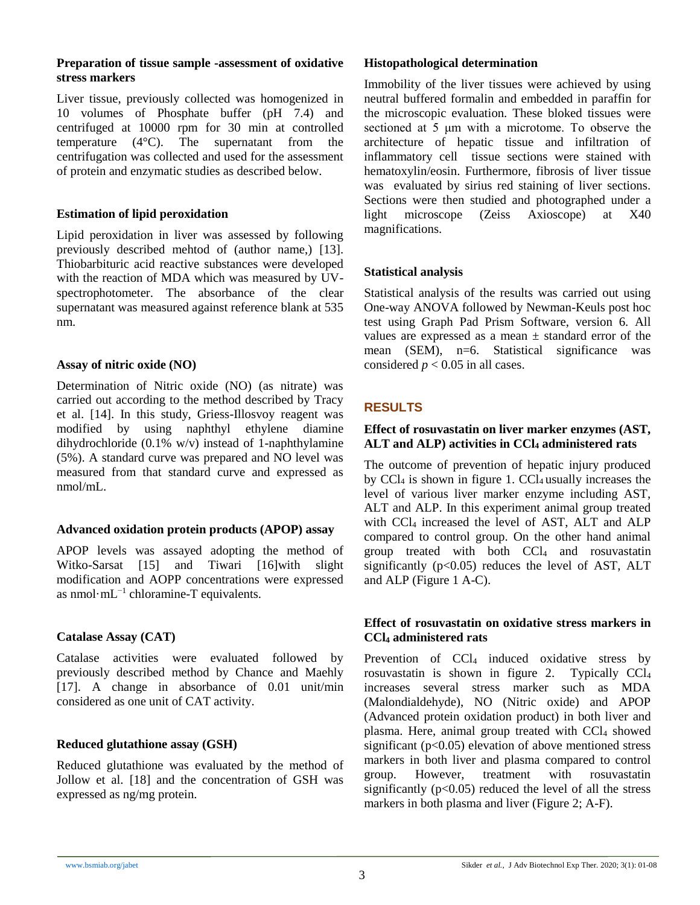#### **Preparation of tissue sample -assessment of oxidative stress markers**

Liver tissue, previously collected was homogenized in 10 volumes of Phosphate buffer (pH 7.4) and centrifuged at 10000 rpm for 30 min at controlled temperature (4°C). The supernatant from the centrifugation was collected and used for the assessment of protein and enzymatic studies as described below.

# **Estimation of lipid peroxidation**

Lipid peroxidation in liver was assessed by following previously described mehtod of (author name,) [\[13\]](#page-7-1). Thiobarbituric acid reactive substances were developed with the reaction of MDA which was measured by UVspectrophotometer. The absorbance of the clear supernatant was measured against reference blank at 535 nm.

#### **Assay of nitric oxide (NO)**

Determination of Nitric oxide (NO) (as nitrate) was carried out according to the method described by Tracy et al. [\[14\]](#page-7-2). In this study, Griess-Illosvoy reagent was modified by using naphthyl ethylene diamine dihydrochloride (0.1% w/v) instead of 1-naphthylamine (5%). A standard curve was prepared and NO level was measured from that standard curve and expressed as nmol/mL.

#### **Advanced oxidation protein products (APOP) assay**

APOP levels was assayed adopting the method of Witko-Sarsat [\[15\]](#page-7-3) and Tiwari [\[16\]](#page-7-4)with slight modification and AOPP concentrations were expressed as nmol·mL−1 chloramine-T equivalents.

# **Catalase Assay (CAT)**

Catalase activities were evaluated followed by previously described method by Chance and Maehly [\[17\]](#page-7-5). A change in absorbance of 0.01 unit/min considered as one unit of CAT activity.

# **Reduced glutathione assay (GSH)**

Reduced glutathione was evaluated by the method of Jollow et al. [\[18\]](#page-7-6) and the concentration of GSH was expressed as ng/mg protein.

## **Histopathological determination**

Immobility of the liver tissues were achieved by using neutral buffered formalin and embedded in paraffin for the microscopic evaluation. These bloked tissues were sectioned at 5 μm with a microtome. To observe the architecture of hepatic tissue and infiltration of inflammatory cell tissue sections were stained with hematoxylin/eosin. Furthermore, fibrosis of liver tissue was evaluated by sirius red staining of liver sections. Sections were then studied and photographed under a light microscope (Zeiss Axioscope) at X40 magnifications.

#### **Statistical analysis**

Statistical analysis of the results was carried out using One-way ANOVA followed by Newman-Keuls post hoc test using Graph Pad Prism Software, version 6. All values are expressed as a mean  $\pm$  standard error of the mean (SEM), n=6. Statistical significance was considered  $p < 0.05$  in all cases.

# **RESULTS**

#### **Effect of rosuvastatin on liver marker enzymes (AST, ALT and ALP) activities in CCl<sup>4</sup> administered rats**

The outcome of prevention of hepatic injury produced by CCl<sub>4</sub> is shown in figure 1. CCl<sub>4</sub> usually increases the level of various liver marker enzyme including AST, ALT and ALP. In this experiment animal group treated with CCl<sub>4</sub> increased the level of AST, ALT and ALP compared to control group. On the other hand animal group treated with both CCl<sup>4</sup> and rosuvastatin significantly  $(p<0.05)$  reduces the level of AST, ALT and ALP (Figure 1 A-C).

#### **Effect of rosuvastatin on oxidative stress markers in CCl<sup>4</sup> administered rats**

Prevention of CCl<sub>4</sub> induced oxidative stress by rosuvastatin is shown in figure 2. Typically CCl<sup>4</sup> increases several stress marker such as MDA (Malondialdehyde), NO (Nitric oxide) and APOP (Advanced protein oxidation product) in both liver and plasma. Here, animal group treated with CCl<sub>4</sub> showed significant ( $p<0.05$ ) elevation of above mentioned stress markers in both liver and plasma compared to control group. However, treatment with rosuvastatin significantly  $(p<0.05)$  reduced the level of all the stress markers in both plasma and liver (Figure 2; A-F).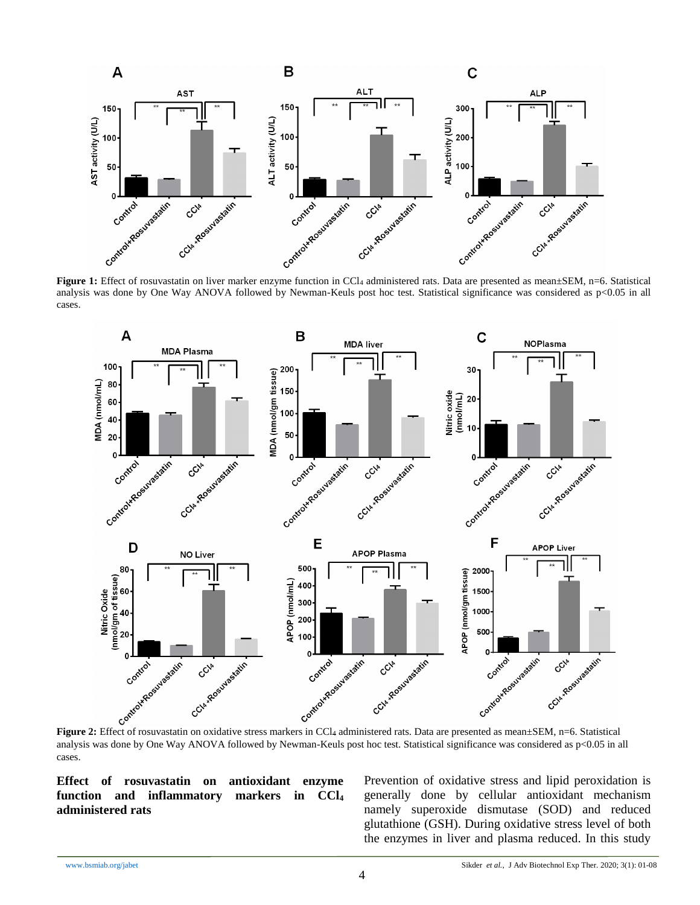

analysis was done by One Way ANOVA followed by Newman-Keuls post hoc test. Statistical significance was considered as  $p<0.05$  in all cases.



analysis was done by One Way ANOVA followed by Newman-Keuls post hoc test. Statistical significance was considered as p<0.05 in all cases.

**Effect of rosuvastatin on antioxidant enzyme function and inflammatory markers in CCl<sup>4</sup> administered rats**

Prevention of oxidative stress and lipid peroxidation is generally done by cellular antioxidant mechanism namely superoxide dismutase (SOD) and reduced glutathione (GSH). During oxidative stress level of both the enzymes in liver and plasma reduced. In this study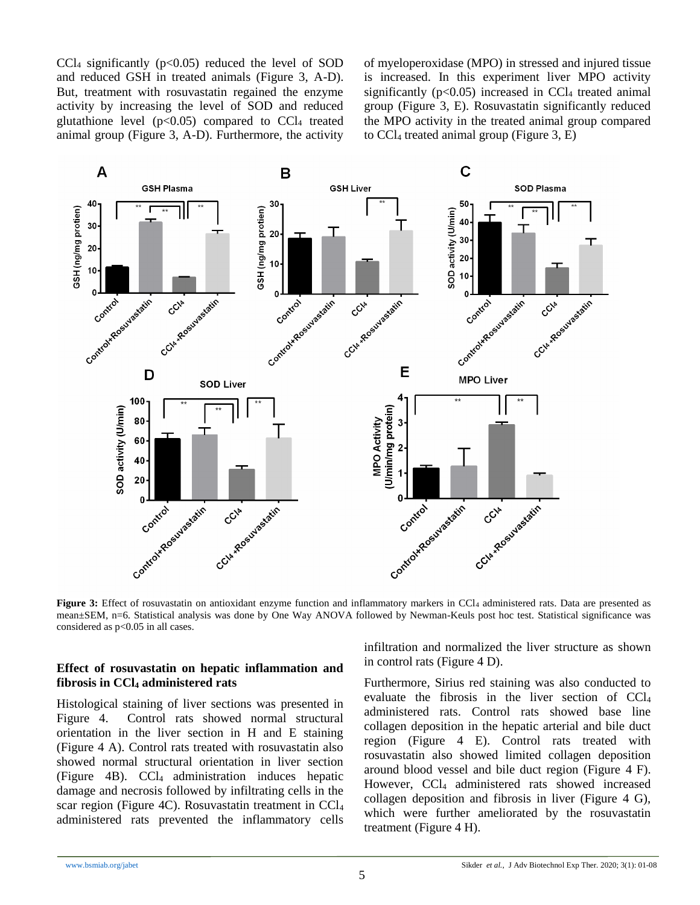CCl<sub>4</sub> significantly ( $p<0.05$ ) reduced the level of SOD and reduced GSH in treated animals (Figure 3, A-D). But, treatment with rosuvastatin regained the enzyme activity by increasing the level of SOD and reduced glutathione level  $(p<0.05)$  compared to CCl<sub>4</sub> treated animal group (Figure 3, A-D). Furthermore, the activity of myeloperoxidase (MPO) in stressed and injured tissue is increased. In this experiment liver MPO activity significantly ( $p<0.05$ ) increased in CCl<sub>4</sub> treated animal group (Figure 3, E). Rosuvastatin significantly reduced the MPO activity in the treated animal group compared to  $CCl_4$  treated animal group (Figure 3, E)



**Figure 3:** Effect of rosuvastatin on antioxidant enzyme function and inflammatory markers in CCl<sub>4</sub> administered rats. Data are presented as mean±SEM, n=6. Statistical analysis was done by One Way ANOVA followed by Newman-Keuls post hoc test. Statistical significance was considered as p<0.05 in all cases.

#### **Effect of rosuvastatin on hepatic inflammation and fibrosis in CCl<sup>4</sup> administered rats**

Histological staining of liver sections was presented in Figure 4. Control rats showed normal structural orientation in the liver section in H and E staining (Figure 4 A). Control rats treated with rosuvastatin also showed normal structural orientation in liver section (Figure 4B). CCl<sup>4</sup> administration induces hepatic damage and necrosis followed by infiltrating cells in the scar region (Figure 4C). Rosuvastatin treatment in CCl<sup>4</sup> administered rats prevented the inflammatory cells

infiltration and normalized the liver structure as shown in control rats (Figure 4 D).

Furthermore, Sirius red staining was also conducted to evaluate the fibrosis in the liver section of CCl<sup>4</sup> administered rats. Control rats showed base line collagen deposition in the hepatic arterial and bile duct region (Figure 4 E). Control rats treated with rosuvastatin also showed limited collagen deposition around blood vessel and bile duct region (Figure 4 F). However, CCl<sub>4</sub> administered rats showed increased collagen deposition and fibrosis in liver (Figure 4 G), which were further ameliorated by the rosuvastatin treatment (Figure 4 H).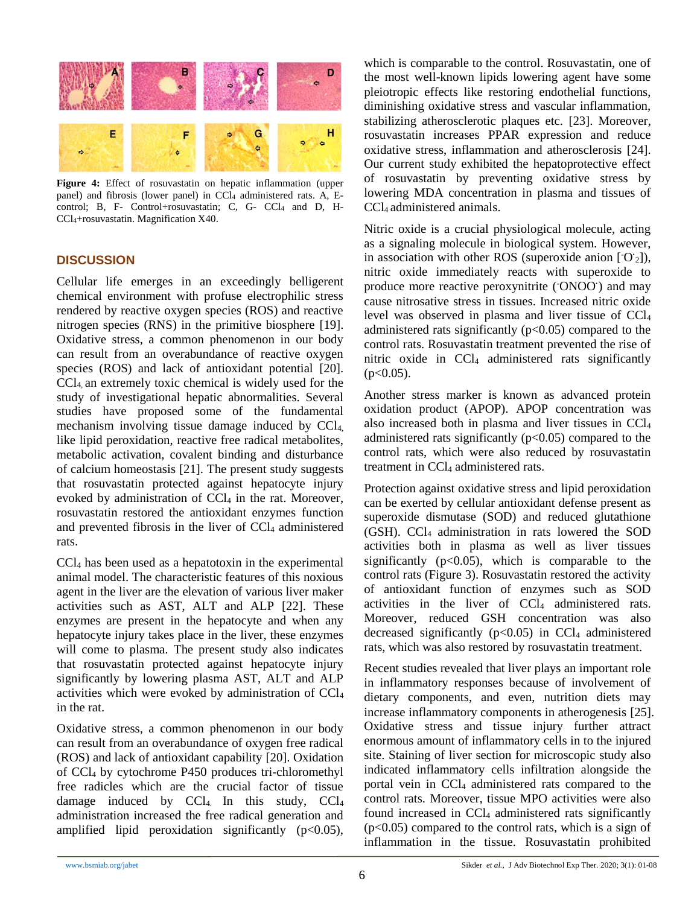

**Figure 4:** Effect of rosuvastatin on hepatic inflammation (upper panel) and fibrosis (lower panel) in CCl<sub>4</sub> administered rats. A, Econtrol; B, F- Control+rosuvastatin; C, G- CCl4 and D, H-CCl4+rosuvastatin. Magnification X40.

# **DISCUSSION**

Cellular life emerges in an exceedingly belligerent chemical environment with profuse electrophilic stress rendered by reactive oxygen species (ROS) and reactive nitrogen species (RNS) in the primitive biosphere [\[19\]](#page-7-7). Oxidative stress, a common phenomenon in our body can result from an overabundance of reactive oxygen species (ROS) and lack of antioxidant potential [\[20\]](#page-7-8). CCl4, an extremely toxic chemical is widely used for the study of investigational hepatic abnormalities. Several studies have proposed some of the fundamental mechanism involving tissue damage induced by CCl4, like lipid peroxidation, reactive free radical metabolites, metabolic activation, covalent binding and disturbance of calcium homeostasis [\[21\]](#page-7-9). The present study suggests that rosuvastatin protected against hepatocyte injury evoked by administration of  $CCl<sub>4</sub>$  in the rat. Moreover, rosuvastatin restored the antioxidant enzymes function and prevented fibrosis in the liver of CCl<sub>4</sub> administered rats.

CCl<sup>4</sup> has been used as a hepatotoxin in the experimental animal model. The characteristic features of this noxious agent in the liver are the elevation of various liver maker activities such as AST, ALT and ALP [\[22\]](#page-7-10). These enzymes are present in the hepatocyte and when any hepatocyte injury takes place in the liver, these enzymes will come to plasma. The present study also indicates that rosuvastatin protected against hepatocyte injury significantly by lowering plasma AST, ALT and ALP activities which were evoked by administration of CCl<sup>4</sup> in the rat.

Oxidative stress, a common phenomenon in our body can result from an overabundance of oxygen free radical (ROS) and lack of antioxidant capability [\[20\]](#page-7-8). Oxidation of CCl<sup>4</sup> by cytochrome P450 produces tri-chloromethyl free radicles which are the crucial factor of tissue damage induced by  $CCl<sub>4</sub>$  In this study,  $CCl<sub>4</sub>$ administration increased the free radical generation and amplified lipid peroxidation significantly  $(p<0.05)$ ,

which is comparable to the control. Rosuvastatin, one of the most well-known lipids lowering agent have some pleiotropic effects like restoring endothelial functions, diminishing oxidative stress and vascular inflammation, stabilizing atherosclerotic plaques etc. [\[23\]](#page-7-11). Moreover, rosuvastatin increases PPAR expression and reduce oxidative stress, inflammation and atherosclerosis [\[24\]](#page-7-12). Our current study exhibited the hepatoprotective effect of rosuvastatin by preventing oxidative stress by lowering MDA concentration in plasma and tissues of CCl4 administered animals.

Nitric oxide is a crucial physiological molecule, acting as a signaling molecule in biological system. However, in association with other ROS (superoxide anion [-O**·** <sup>2</sup>]), nitric oxide immediately reacts with superoxide to produce more reactive peroxynitrite (ONOO<sup>·</sup>) and may cause nitrosative stress in tissues. Increased nitric oxide level was observed in plasma and liver tissue of CCl<sup>4</sup> administered rats significantly  $(p<0.05)$  compared to the control rats. Rosuvastatin treatment prevented the rise of nitric oxide in  $CCl<sub>4</sub>$  administered rats significantly  $(p<0.05)$ .

Another stress marker is known as advanced protein oxidation product (APOP). APOP concentration was also increased both in plasma and liver tissues in CCl<sup>4</sup> administered rats significantly  $(p<0.05)$  compared to the control rats, which were also reduced by rosuvastatin treatment in CCl<sub>4</sub> administered rats.

Protection against oxidative stress and lipid peroxidation can be exerted by cellular antioxidant defense present as superoxide dismutase (SOD) and reduced glutathione (GSH). CCl<sup>4</sup> administration in rats lowered the SOD activities both in plasma as well as liver tissues significantly  $(p<0.05)$ , which is comparable to the control rats (Figure 3). Rosuvastatin restored the activity of antioxidant function of enzymes such as SOD activities in the liver of CCl<sub>4</sub> administered rats. Moreover, reduced GSH concentration was also decreased significantly  $(p<0.05)$  in CCl<sub>4</sub> administered rats, which was also restored by rosuvastatin treatment.

Recent studies revealed that liver plays an important role in inflammatory responses because of involvement of dietary components, and even, nutrition diets may increase inflammatory components in atherogenesis [\[25\]](#page-7-13). Oxidative stress and tissue injury further attract enormous amount of inflammatory cells in to the injured site. Staining of liver section for microscopic study also indicated inflammatory cells infiltration alongside the portal vein in CCl<sup>4</sup> administered rats compared to the control rats. Moreover, tissue MPO activities were also found increased in CCl<sub>4</sub> administered rats significantly  $(p<0.05)$  compared to the control rats, which is a sign of inflammation in the tissue. Rosuvastatin prohibited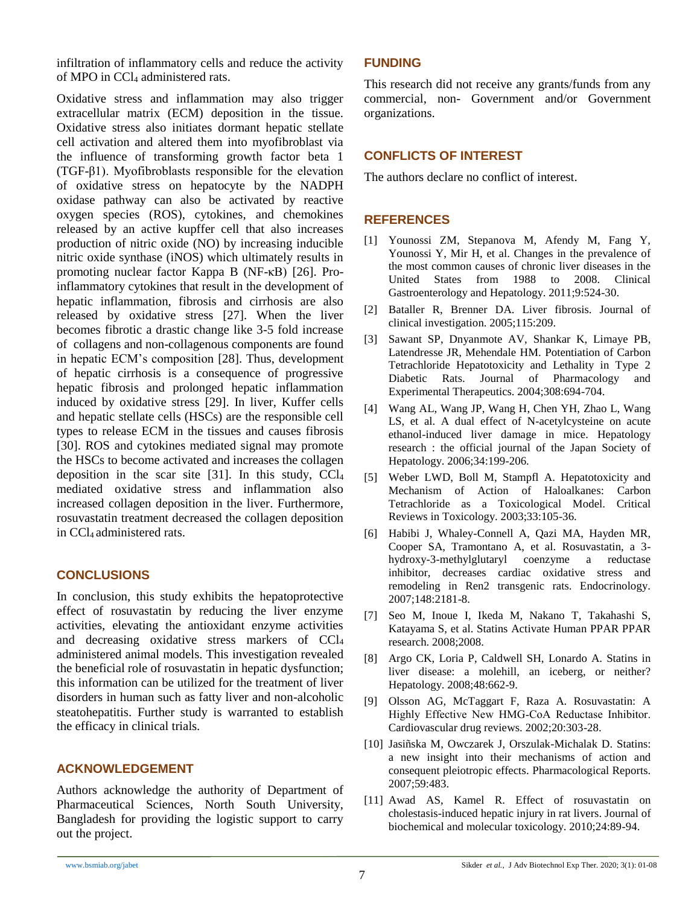infiltration of inflammatory cells and reduce the activity of MPO in CCl<sup>4</sup> administered rats.

Oxidative stress and inflammation may also trigger extracellular matrix (ECM) deposition in the tissue. Oxidative stress also initiates dormant hepatic stellate cell activation and altered them into myofibroblast via the influence of transforming growth factor beta 1 (TGF-β1). Myofibroblasts responsible for the elevation of oxidative stress on hepatocyte by the NADPH oxidase pathway can also be activated by reactive oxygen species (ROS), cytokines, and chemokines released by an active kupffer cell that also increases production of nitric oxide (NO) by increasing inducible nitric oxide synthase (iNOS) which ultimately results in promoting nuclear factor Kappa B (NF-κB) [\[26\]](#page-7-14). Proinflammatory cytokines that result in the development of hepatic inflammation, fibrosis and cirrhosis are also released by oxidative stress [\[27\]](#page-7-15). When the liver becomes fibrotic a drastic change like 3-5 fold increase of collagens and non-collagenous components are found in hepatic ECM's composition [\[28\]](#page-7-16). Thus, development of hepatic cirrhosis is a consequence of progressive hepatic fibrosis and prolonged hepatic inflammation induced by oxidative stress [\[29\]](#page-7-17). In liver, Kuffer cells and hepatic stellate cells (HSCs) are the responsible cell types to release ECM in the tissues and causes fibrosis [\[30\]](#page-7-18). ROS and cytokines mediated signal may promote the HSCs to become activated and increases the collagen deposition in the scar site [\[31\]](#page-7-19). In this study,  $CCl<sub>4</sub>$ mediated oxidative stress and inflammation also increased collagen deposition in the liver. Furthermore, rosuvastatin treatment decreased the collagen deposition in CCl4 administered rats.

# **CONCLUSIONS**

In conclusion, this study exhibits the hepatoprotective effect of rosuvastatin by reducing the liver enzyme activities, elevating the antioxidant enzyme activities and decreasing oxidative stress markers of CCl<sup>4</sup> administered animal models. This investigation revealed the beneficial role of rosuvastatin in hepatic dysfunction; this information can be utilized for the treatment of liver disorders in human such as fatty liver and non-alcoholic steatohepatitis. Further study is warranted to establish the efficacy in clinical trials.

# **ACKNOWLEDGEMENT**

Authors acknowledge the authority of Department of Pharmaceutical Sciences, North South University, Bangladesh for providing the logistic support to carry out the project.

#### **FUNDING**

This research did not receive any grants/funds from any commercial, non- Government and/or Government organizations.

# **CONFLICTS OF INTEREST**

The authors declare no conflict of interest.

# **REFERENCES**

- <span id="page-6-0"></span>[1] Younossi ZM, Stepanova M, Afendy M, Fang Y, Younossi Y, Mir H, et al. Changes in the prevalence of the most common causes of chronic liver diseases in the United States from 1988 to 2008. Clinical Gastroenterology and Hepatology. 2011;9:524-30.
- <span id="page-6-1"></span>[2] Bataller R, Brenner DA. Liver fibrosis. Journal of clinical investigation. 2005;115:209.
- <span id="page-6-2"></span>[3] Sawant SP, Dnyanmote AV, Shankar K, Limaye PB, Latendresse JR, Mehendale HM. Potentiation of Carbon Tetrachloride Hepatotoxicity and Lethality in Type 2 Diabetic Rats. Journal of Pharmacology and Experimental Therapeutics. 2004;308:694-704.
- <span id="page-6-3"></span>[4] Wang AL, Wang JP, Wang H, Chen YH, Zhao L, Wang LS, et al. A dual effect of N-acetylcysteine on acute ethanol-induced liver damage in mice. Hepatology research : the official journal of the Japan Society of Hepatology. 2006;34:199-206.
- <span id="page-6-4"></span>[5] Weber LWD, Boll M, Stampfl A. Hepatotoxicity and Mechanism of Action of Haloalkanes: Carbon Tetrachloride as a Toxicological Model. Critical Reviews in Toxicology. 2003;33:105-36.
- <span id="page-6-5"></span>[6] Habibi J, Whaley-Connell A, Qazi MA, Hayden MR, Cooper SA, Tramontano A, et al. Rosuvastatin, a 3 hydroxy-3-methylglutaryl coenzyme a reductase inhibitor, decreases cardiac oxidative stress and remodeling in Ren2 transgenic rats. Endocrinology. 2007;148:2181-8.
- <span id="page-6-6"></span>[7] Seo M, Inoue I, Ikeda M, Nakano T, Takahashi S, Katayama S, et al. Statins Activate Human PPAR PPAR research. 2008;2008.
- <span id="page-6-7"></span>[8] Argo CK, Loria P, Caldwell SH, Lonardo A. Statins in liver disease: a molehill, an iceberg, or neither? Hepatology. 2008;48:662-9.
- <span id="page-6-8"></span>[9] Olsson AG, McTaggart F, Raza A. Rosuvastatin: A Highly Effective New HMG‐CoA Reductase Inhibitor. Cardiovascular drug reviews. 2002;20:303-28.
- <span id="page-6-9"></span>[10] Jasiñska M, Owczarek J, Orszulak-Michalak D. Statins: a new insight into their mechanisms of action and consequent pleiotropic effects. Pharmacological Reports. 2007;59:483.
- <span id="page-6-10"></span>[11] Awad AS, Kamel R. Effect of rosuvastatin on cholestasis-induced hepatic injury in rat livers. Journal of biochemical and molecular toxicology. 2010;24:89-94.